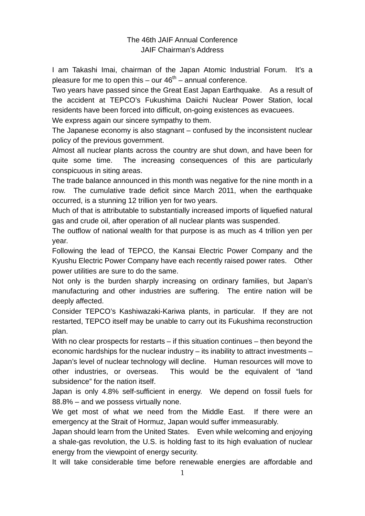## The 46th JAIF Annual Conference JAIF Chairman's Address

I am Takashi Imai, chairman of the Japan Atomic Industrial Forum. It's a pleasure for me to open this – our  $46<sup>th</sup>$  – annual conference.

Two years have passed since the Great East Japan Earthquake. As a result of the accident at TEPCO's Fukushima Daiichi Nuclear Power Station, local residents have been forced into difficult, on-going existences as evacuees.

We express again our sincere sympathy to them.

The Japanese economy is also stagnant – confused by the inconsistent nuclear policy of the previous government.

Almost all nuclear plants across the country are shut down, and have been for quite some time. The increasing consequences of this are particularly conspicuous in siting areas.

The trade balance announced in this month was negative for the nine month in a row. The cumulative trade deficit since March 2011, when the earthquake occurred, is a stunning 12 trillion yen for two years.

Much of that is attributable to substantially increased imports of liquefied natural gas and crude oil, after operation of all nuclear plants was suspended.

The outflow of national wealth for that purpose is as much as 4 trillion yen per year.

Following the lead of TEPCO, the Kansai Electric Power Company and the Kyushu Electric Power Company have each recently raised power rates. Other power utilities are sure to do the same.

Not only is the burden sharply increasing on ordinary families, but Japan's manufacturing and other industries are suffering. The entire nation will be deeply affected.

Consider TEPCO's Kashiwazaki-Kariwa plants, in particular. If they are not restarted, TEPCO itself may be unable to carry out its Fukushima reconstruction plan.

With no clear prospects for restarts – if this situation continues – then beyond the economic hardships for the nuclear industry – its inability to attract investments – Japan's level of nuclear technology will decline. Human resources will move to other industries, or overseas. This would be the equivalent of "land subsidence" for the nation itself.

Japan is only 4.8% self-sufficient in energy. We depend on fossil fuels for 88.8% – and we possess virtually none.

We get most of what we need from the Middle East. If there were an emergency at the Strait of Hormuz, Japan would suffer immeasurably.

Japan should learn from the United States. Even while welcoming and enjoying a shale-gas revolution, the U.S. is holding fast to its high evaluation of nuclear energy from the viewpoint of energy security.

It will take considerable time before renewable energies are affordable and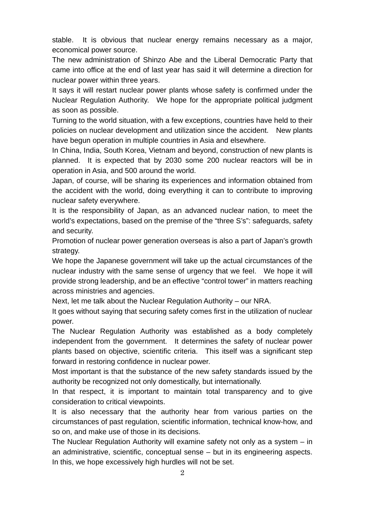stable. It is obvious that nuclear energy remains necessary as a major, economical power source.

The new administration of Shinzo Abe and the Liberal Democratic Party that came into office at the end of last year has said it will determine a direction for nuclear power within three years.

It says it will restart nuclear power plants whose safety is confirmed under the Nuclear Regulation Authority. We hope for the appropriate political judgment as soon as possible.

Turning to the world situation, with a few exceptions, countries have held to their policies on nuclear development and utilization since the accident. New plants have begun operation in multiple countries in Asia and elsewhere.

In China, India, South Korea, Vietnam and beyond, construction of new plants is planned. It is expected that by 2030 some 200 nuclear reactors will be in operation in Asia, and 500 around the world.

Japan, of course, will be sharing its experiences and information obtained from the accident with the world, doing everything it can to contribute to improving nuclear safety everywhere.

It is the responsibility of Japan, as an advanced nuclear nation, to meet the world's expectations, based on the premise of the "three S's": safeguards, safety and security.

Promotion of nuclear power generation overseas is also a part of Japan's growth strategy.

We hope the Japanese government will take up the actual circumstances of the nuclear industry with the same sense of urgency that we feel. We hope it will provide strong leadership, and be an effective "control tower" in matters reaching across ministries and agencies.

Next, let me talk about the Nuclear Regulation Authority – our NRA.

It goes without saying that securing safety comes first in the utilization of nuclear power.

The Nuclear Regulation Authority was established as a body completely independent from the government. It determines the safety of nuclear power plants based on objective, scientific criteria. This itself was a significant step forward in restoring confidence in nuclear power.

Most important is that the substance of the new safety standards issued by the authority be recognized not only domestically, but internationally.

In that respect, it is important to maintain total transparency and to give consideration to critical viewpoints.

It is also necessary that the authority hear from various parties on the circumstances of past regulation, scientific information, technical know-how, and so on, and make use of those in its decisions.

The Nuclear Regulation Authority will examine safety not only as a system – in an administrative, scientific, conceptual sense – but in its engineering aspects. In this, we hope excessively high hurdles will not be set.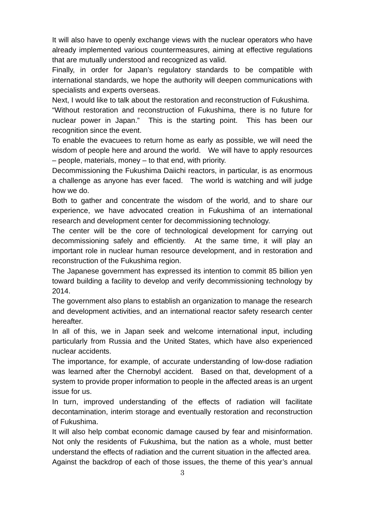It will also have to openly exchange views with the nuclear operators who have already implemented various countermeasures, aiming at effective regulations that are mutually understood and recognized as valid.

Finally, in order for Japan's regulatory standards to be compatible with international standards, we hope the authority will deepen communications with specialists and experts overseas.

Next, I would like to talk about the restoration and reconstruction of Fukushima.

"Without restoration and reconstruction of Fukushima, there is no future for nuclear power in Japan." This is the starting point. This has been our recognition since the event.

To enable the evacuees to return home as early as possible, we will need the wisdom of people here and around the world. We will have to apply resources – people, materials, money – to that end, with priority.

Decommissioning the Fukushima Daiichi reactors, in particular, is as enormous a challenge as anyone has ever faced. The world is watching and will judge how we do.

Both to gather and concentrate the wisdom of the world, and to share our experience, we have advocated creation in Fukushima of an international research and development center for decommissioning technology.

The center will be the core of technological development for carrying out decommissioning safely and efficiently. At the same time, it will play an important role in nuclear human resource development, and in restoration and reconstruction of the Fukushima region.

The Japanese government has expressed its intention to commit 85 billion yen toward building a facility to develop and verify decommissioning technology by 2014.

The government also plans to establish an organization to manage the research and development activities, and an international reactor safety research center hereafter.

In all of this, we in Japan seek and welcome international input, including particularly from Russia and the United States, which have also experienced nuclear accidents.

The importance, for example, of accurate understanding of low-dose radiation was learned after the Chernobyl accident. Based on that, development of a system to provide proper information to people in the affected areas is an urgent issue for us.

In turn, improved understanding of the effects of radiation will facilitate decontamination, interim storage and eventually restoration and reconstruction of Fukushima.

It will also help combat economic damage caused by fear and misinformation. Not only the residents of Fukushima, but the nation as a whole, must better understand the effects of radiation and the current situation in the affected area.

Against the backdrop of each of those issues, the theme of this year's annual